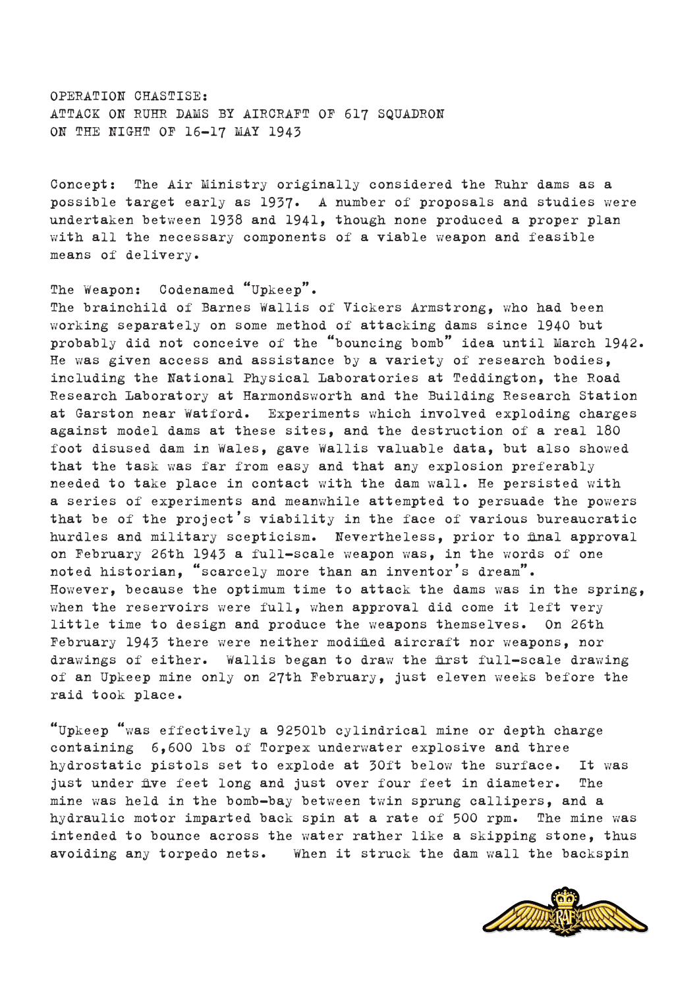OPERATION CHASTISE: ATTACK ON RUHR DAMS BY AIRCRAFT OF 617 SQUADRON ON THE NIGHT OF 16-17 MAY 1943

Concept: The Air Ministry originally considered the Ruhr dams as a possible target early as 1937. A number of proposals and studies were undertaken between 1938 and 1941, though none produced a proper plan with all the necessary components of a viable weapon and feasible means of delivery.

# The Weapon: Codenamed "Upkeep".

The brainchild of Barnes Wallis of Vickers Armstrong, who had been working separately on some method of attacking dams since 1940 but probably did not conceive of the "bouncing bomb" idea until March 1942. He was given access and assistance by a variety of research bodies, including the National Physical Laboratories at Teddington, the Road Research Laboratory at Harmondsworth and the Building Research Station at Garston near Watford. Experiments which involved exploding charges against model dams at these sites, and the destruction of a real 180 foot disused dam in Wales, gave Wallis valuable data, but also showed that the task was far from easy and that any explosion preferably needed to take place in contact with the dam wall. He persisted with a series of experiments and meanwhile attempted to persuade the powers that be of the project's viability in the face of various bureaucratic hurdles and military scepticism. Nevertheless, prior to final approval on February 26th 1943 a full-scale weapon was, in the words of one noted historian, "scarcely more than an inventor's dream". However, because the optimum time to attack the dams was in the spring, when the reservoirs were full, when approval did come it left very little time to design and produce the weapons themselves. On 26th February 1943 there were neither modified aircraft nor weapons, nor drawings of either. Wallis began to draw the first full-scale drawing of an Upkeep mine only on 27th February, just eleven weeks before the raid took place.

"Upkeep "was effectively a 9250lb cylindrical mine or depth charge containing 6,600 lbs of Torpex underwater explosive and three hydrostatic pistols set to explode at 30ft below the surface. It was just under five feet long and just over four feet in diameter. The mine was held in the bomb-bay between twin sprung callipers, and a hydraulic motor imparted back spin at a rate of 500 rpm. The mine was intended to bounce across the water rather like a skipping stone, thus avoiding any torpedo nets. When it struck the dam wall the backspin

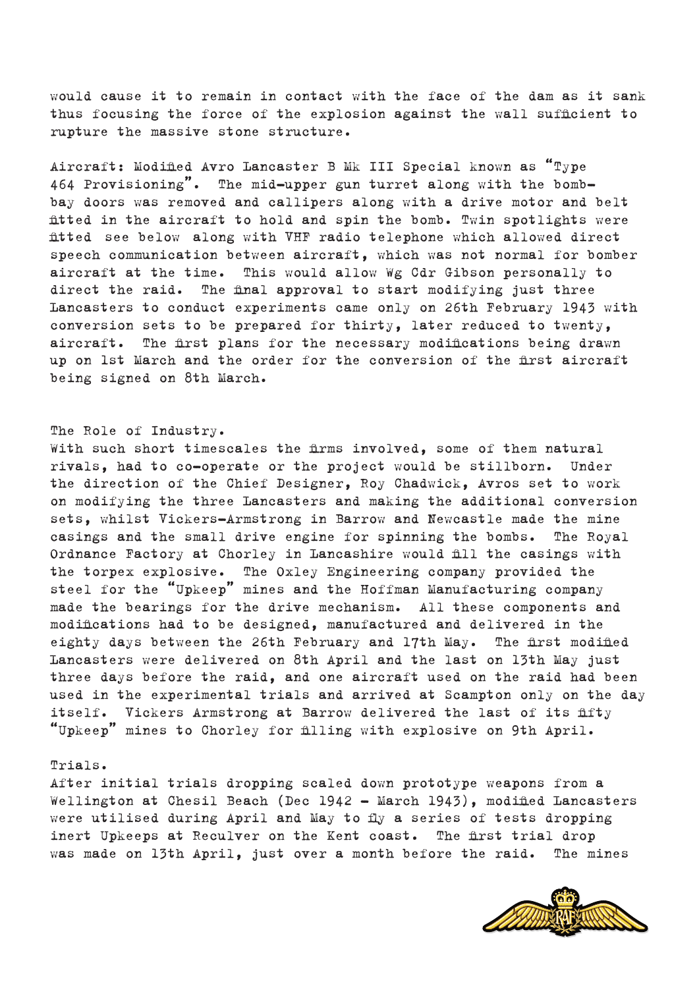

Trials. After initial trials dropping scaled down prototype weapons from a Wellington at Chesil Beach (Dec 1942 – March 1943), modified Lancasters were utilised during April and May to fly a series of tests dropping inert Upkeeps at Reculver on the Kent coast. The first trial drop was made on 13th April, just over a month before the raid. The mines

With such short timescales the firms involved, some of them natural rivals, had to co-operate or the project would be stillborn. Under the direction of the Chief Designer, Roy Chadwick, Avros set to work on modifying the three Lancasters and making the additional conversion sets, whilst Vickers-Armstrong in Barrow and Newcastle made the mine casings and the small drive engine for spinning the bombs. The Royal Ordnance Factory at Chorley in Lancashire would fill the casings with the torpex explosive. The Oxley Engineering company provided the steel for the "Upkeep" mines and the Hoffman Manufacturing company made the bearings for the drive mechanism. All these components and modifications had to be designed, manufactured and delivered in the eighty days between the 26th February and 17th May. The first modified Lancasters were delivered on 8th April and the last on 13th May just three days before the raid, and one aircraft used on the raid had been used in the experimental trials and arrived at Scampton only on the day itself. Vickers Armstrong at Barrow delivered the last of its fifty "Upkeep" mines to Chorley for filling with explosive on 9th April.

# The Role of Industry.

464 Provisioning". The mid-upper gun turret along with the bombbay doors was removed and callipers along with a drive motor and belt fitted in the aircraft to hold and spin the bomb. Twin spotlights were fitted see below along with VHF radio telephone which allowed direct speech communication between aircraft, which was not normal for bomber aircraft at the time. This would allow Wg Cdr Gibson personally to direct the raid. The final approval to start modifying just three Lancasters to conduct experiments came only on 26th February 1943 with conversion sets to be prepared for thirty, later reduced to twenty, aircraft. The first plans for the necessary modifications being drawn up on 1st March and the order for the conversion of the first aircraft being signed on 8th March.

would cause it to remain in contact with the face of the dam as it sank thus focusing the force of the explosion against the wall sufficient to rupture the massive stone structure.

Aircraft: Modified Avro Lancaster B Mk III Special known as "Type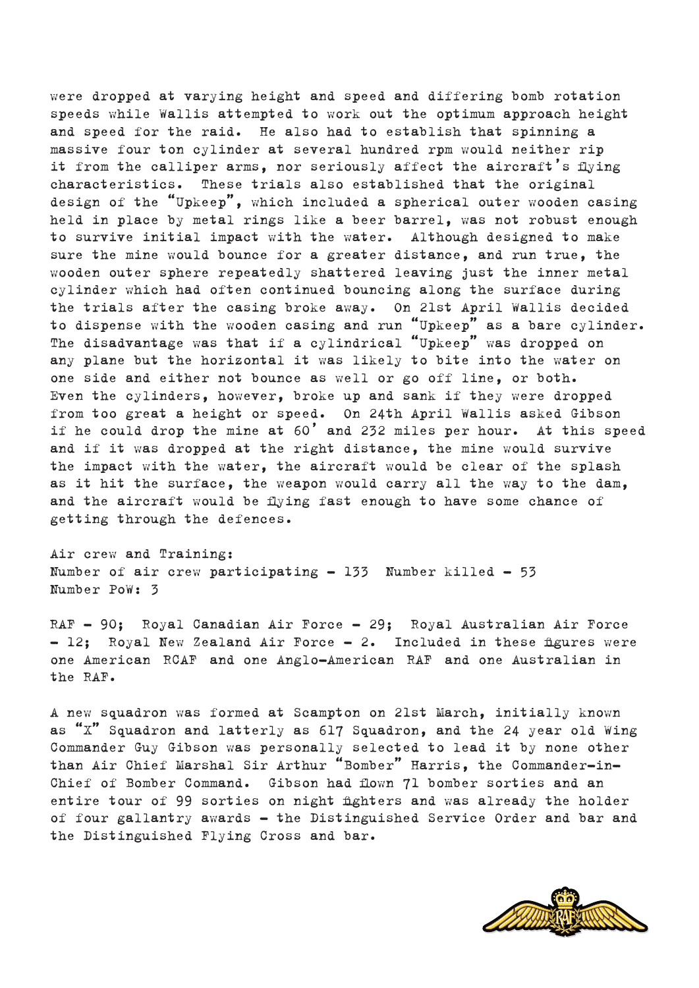were dropped at varying height and speed and differing bomb rotation speeds while Wallis attempted to work out the optimum approach height and speed for the raid. He also had to establish that spinning a massive four ton cylinder at several hundred rpm would neither rip it from the calliper arms, nor seriously affect the aircraft's flying characteristics. These trials also established that the original design of the "Upkeep", which included a spherical outer wooden casing held in place by metal rings like a beer barrel, was not robust enough to survive initial impact with the water. Although designed to make sure the mine would bounce for a greater distance, and run true, the wooden outer sphere repeatedly shattered leaving just the inner metal cylinder which had often continued bouncing along the surface during the trials after the casing broke away. On 21st April Wallis decided to dispense with the wooden casing and run "Upkeep" as a bare cylinder. The disadvantage was that if a cylindrical "Upkeep" was dropped on any plane but the horizontal it was likely to bite into the water on one side and either not bounce as well or go off line, or both. Even the cylinders, however, broke up and sank if they were dropped from too great a height or speed. On 24th April Wallis asked Gibson if he could drop the mine at 60' and 232 miles per hour. At this speed and if it was dropped at the right distance, the mine would survive the impact with the water, the aircraft would be clear of the splash as it hit the surface, the weapon would carry all the way to the dam, and the aircraft would be flying fast enough to have some chance of getting through the defences.

Air crew and Training: Number of air crew participating  $-133$  Number killed  $-53$ Number PoW: 3

RAF – 90; Royal Canadian Air Force – 29; Royal Australian Air Force – 12; Royal New Zealand Air Force – 2. Included in these figures were one American RCAF and one Anglo-American RAF and one Australian in the RAF.

A new squadron was formed at Scampton on 21st March, initially known as "X" Squadron and latterly as 617 Squadron, and the 24 year old Wing Commander Guy Gibson was personally selected to lead it by none other than Air Chief Marshal Sir Arthur "Bomber" Harris, the Commander-in-Chief of Bomber Command. Gibson had flown 71 bomber sorties and an entire tour of 99 sorties on night fighters and was already the holder of four gallantry awards - the Distinguished Service Order and bar and the Distinguished Flying Cross and bar.

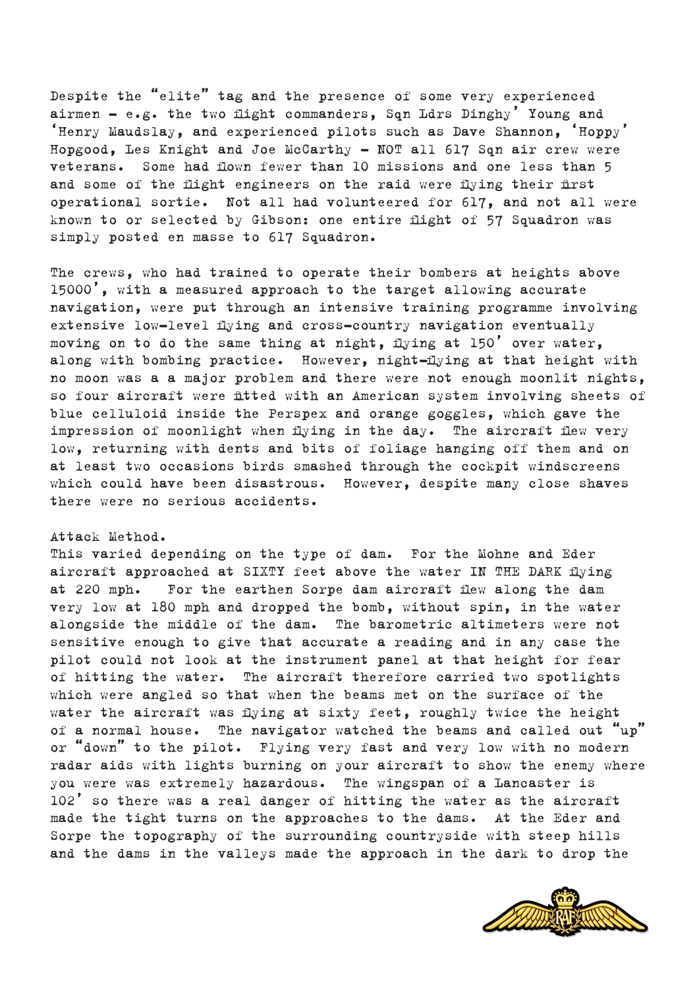Despite the "elite" tag and the presence of some very experienced airmen  $-$  e.g. the two flight commanders, Sqn Ldrs Dinghy' Young and 'Henry Maudslay, and experienced pilots such as Dave Shannon, 'Hoppy' Hopgood, Les Knight and Joe McCarthy - NOT all 617 Sqn air crew were veterans. Some had flown fewer than 10 missions and one less than 5 and some of the flight engineers on the raid were flying their first operational sortie. Not all had volunteered for 617, and not all were known to or selected by Gibson: one entire flight of 57 Squadron was simply posted en masse to 617 Squadron.

The crews, who had trained to operate their bombers at heights above 15000', with a measured approach to the target allowing accurate navigation, were put through an intensive training programme involving extensive low-level flying and cross-country navigation eventually moving on to do the same thing at night, flying at 150' over water, along with bombing practice. However, night-flying at that height with no moon was a a major problem and there were not enough moonlit nights, so four aircraft were fitted with an American system involving sheets of blue celluloid inside the Perspex and orange goggles, which gave the impression of moonlight when flying in the day. The aircraft flew very low, returning with dents and bits of foliage hanging off them and on at least two occasions birds smashed through the cockpit windscreens which could have been disastrous. However, despite many close shaves there were no serious accidents.

# Attack Method.

This varied depending on the type of dam. For the Mohne and Eder aircraft approached at SIXTY feet above the water IN THE DARK flying at 220 mph. For the earthen Sorpe dam aircraft flew along the dam very low at 180 mph and dropped the bomb, without spin, in the water alongside the middle of the dam. The barometric altimeters were not sensitive enough to give that accurate a reading and in any case the pilot could not look at the instrument panel at that height for fear of hitting the water. The aircraft therefore carried two spotlights which were angled so that when the beams met on the surface of the water the aircraft was flying at sixty feet, roughly twice the height of a normal house. The navigator watched the beams and called out "up" or "down" to the pilot. Flying very fast and very low with no modern radar aids with lights burning on your aircraft to show the enemy where you were was extremely hazardous. The wingspan of a Lancaster is 102' so there was a real danger of hitting the water as the aircraft made the tight turns on the approaches to the dams. At the Eder and Sorpe the topography of the surrounding countryside with steep hills and the dams in the valleys made the approach in the dark to drop the

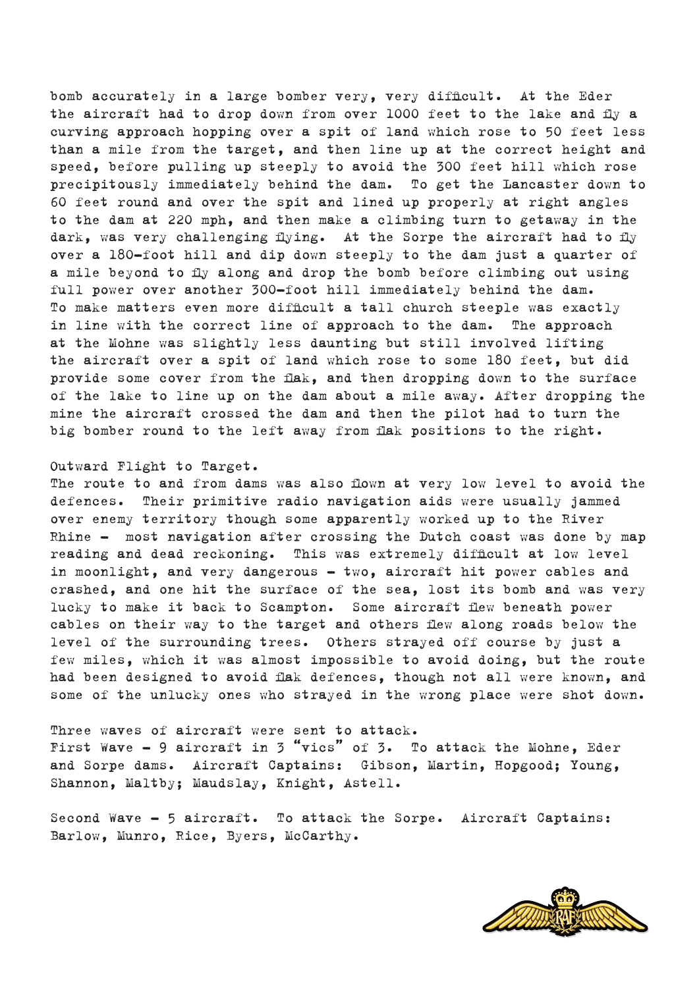bomb accurately in a large bomber very, very difficult. At the Eder the aircraft had to drop down from over 1000 feet to the lake and fly a curving approach hopping over a spit of land which rose to 50 feet less than a mile from the target, and then line up at the correct height and speed, before pulling up steeply to avoid the 300 feet hill which rose precipitously immediately behind the dam. To get the Lancaster down to 60 feet round and over the spit and lined up properly at right angles to the dam at 220 mph, and then make a climbing turn to getaway in the dark, was very challenging flying. At the Sorpe the aircraft had to fly over a 180-foot hill and dip down steeply to the dam just a quarter of a mile beyond to fly along and drop the bomb before climbing out using full power over another 300-foot hill immediately behind the dam. To make matters even more difficult a tall church steeple was exactly in line with the correct line of approach to the dam. The approach at the Mohne was slightly less daunting but still involved lifting the aircraft over a spit of land which rose to some 180 feet, but did provide some cover from the flak, and then dropping down to the surface of the lake to line up on the dam about a mile away. After dropping the mine the aircraft crossed the dam and then the pilot had to turn the big bomber round to the left away from flak positions to the right.

#### Outward Flight to Target.

The route to and from dams was also flown at very low level to avoid the defences. Their primitive radio navigation aids were usually jammed over enemy territory though some apparently worked up to the River Rhine – most navigation after crossing the Dutch coast was done by map reading and dead reckoning. This was extremely difficult at low level in moonlight, and very dangerous – two, aircraft hit power cables and crashed, and one hit the surface of the sea, lost its bomb and was very lucky to make it back to Scampton. Some aircraft flew beneath power cables on their way to the target and others flew along roads below the level of the surrounding trees. Others strayed off course by just a few miles, which it was almost impossible to avoid doing, but the route had been designed to avoid flak defences, though not all were known, and some of the unlucky ones who strayed in the wrong place were shot down.

Three waves of aircraft were sent to attack. First Wave  $-$  9 aircraft in 3 "vics" of 3. To attack the Mohne, Eder and Sorpe dams. Aircraft Captains: Gibson, Martin, Hopgood; Young, Shannon, Maltby; Maudslay, Knight, Astell.

Second Wave – 5 aircraft. To attack the Sorpe. Aircraft Captains: Barlow, Munro, Rice, Byers, McCarthy.

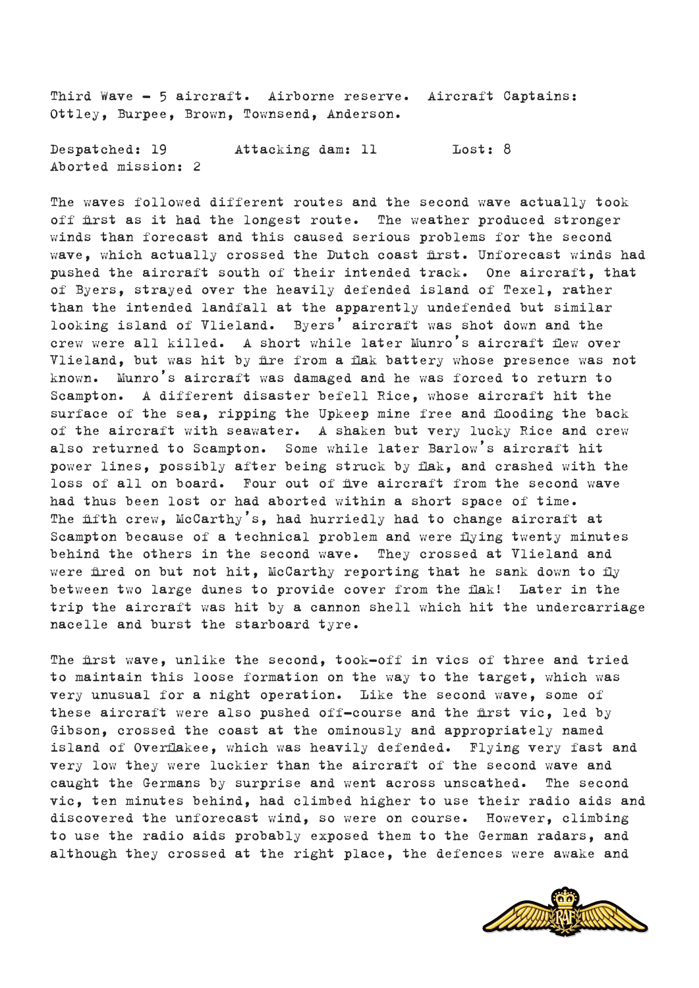Third Wave – 5 aircraft. Airborne reserve. Aircraft Captains: Ottley, Burpee, Brown, Townsend, Anderson.

Despatched: 19 Attacking dam: 11 Lost: 8 Aborted mission: 2

The waves followed different routes and the second wave actually took off first as it had the longest route. The weather produced stronger winds than forecast and this caused serious problems for the second wave, which actually crossed the Dutch coast first. Unforecast winds had pushed the aircraft south of their intended track. One aircraft, that of Byers, strayed over the heavily defended island of Texel, rather than the intended landfall at the apparently undefended but similar looking island of Vlieland. Byers' aircraft was shot down and the crew were all killed. A short while later Munro's aircraft flew over Vlieland, but was hit by fire from a flak battery whose presence was not known. Munro's aircraft was damaged and he was forced to return to Scampton. A different disaster befell Rice, whose aircraft hit the surface of the sea, ripping the Upkeep mine free and flooding the back of the aircraft with seawater. A shaken but very lucky Rice and crew also returned to Scampton. Some while later Barlow's aircraft hit power lines, possibly after being struck by flak, and crashed with the loss of all on board. Four out of five aircraft from the second wave had thus been lost or had aborted within a short space of time. The fifth crew, McCarthy's, had hurriedly had to change aircraft at Scampton because of a technical problem and were flying twenty minutes behind the others in the second wave. They crossed at Vlieland and were fired on but not hit, McCarthy reporting that he sank down to fly between two large dunes to provide cover from the flak! Later in the trip the aircraft was hit by a cannon shell which hit the undercarriage nacelle and burst the starboard tyre.

The first wave, unlike the second, took-off in vics of three and tried to maintain this loose formation on the way to the target, which was very unusual for a night operation. Like the second wave, some of these aircraft were also pushed off-course and the first vic, led by Gibson, crossed the coast at the ominously and appropriately named island of Overflakee, which was heavily defended. Flying very fast and very low they were luckier than the aircraft of the second wave and caught the Germans by surprise and went across unscathed. The second vic, ten minutes behind, had climbed higher to use their radio aids and discovered the unforecast wind, so were on course. However, climbing to use the radio aids probably exposed them to the German radars, and although they crossed at the right place, the defences were awake and

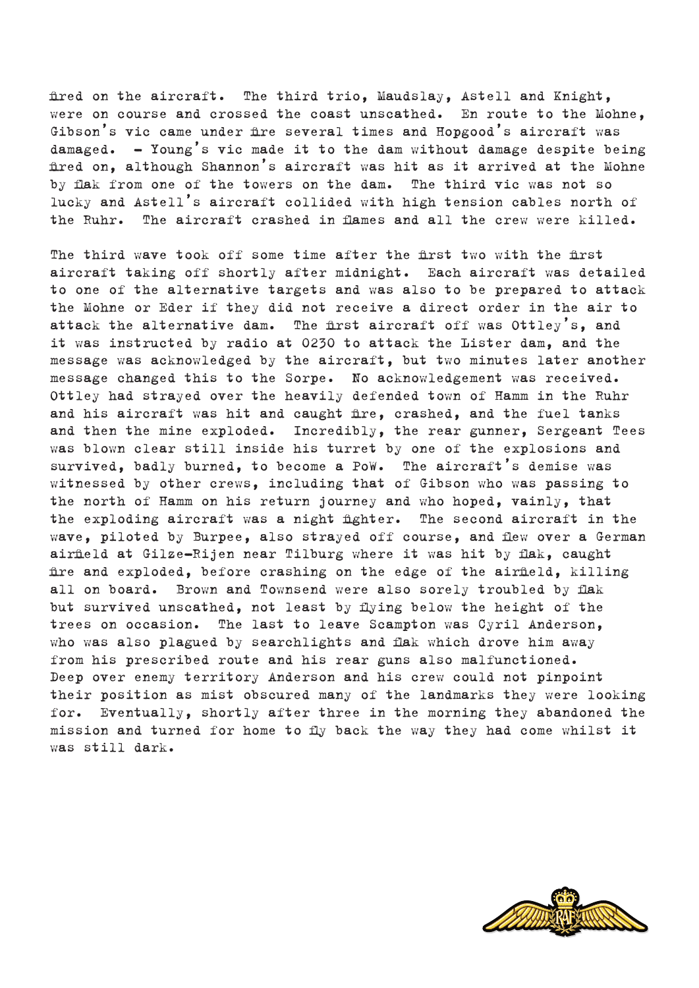fired on the aircraft. The third trio, Maudslay, Astell and Knight, were on course and crossed the coast unscathed. En route to the Mohne, Gibson's vic came under fire several times and Hopgood's aircraft was damaged.  $-$  Young's vic made it to the dam without damage despite being fired on, although Shannon's aircraft was hit as it arrived at the Mohne by flak from one of the towers on the dam. The third vic was not so lucky and Astell's aircraft collided with high tension cables north of the Ruhr. The aircraft crashed in flames and all the crew were killed.

The third wave took off some time after the first two with the first aircraft taking off shortly after midnight. Each aircraft was detailed to one of the alternative targets and was also to be prepared to attack the Mohne or Eder if they did not receive a direct order in the air to attack the alternative dam. The first aircraft off was Ottley's, and it was instructed by radio at 0230 to attack the Lister dam, and the message was acknowledged by the aircraft, but two minutes later another message changed this to the Sorpe. No acknowledgement was received. Ottley had strayed over the heavily defended town of Hamm in the Ruhr and his aircraft was hit and caught fire, crashed, and the fuel tanks and then the mine exploded. Incredibly, the rear gunner, Sergeant Tees was blown clear still inside his turret by one of the explosions and survived, badly burned, to become a PoW. The aircraft's demise was witnessed by other crews, including that of Gibson who was passing to the north of Hamm on his return journey and who hoped, vainly, that the exploding aircraft was a night fighter. The second aircraft in the wave, piloted by Burpee, also strayed off course, and flew over a German airfield at Gilze-Rijen near Tilburg where it was hit by flak, caught fire and exploded, before crashing on the edge of the airfield, killing all on board. Brown and Townsend were also sorely troubled by flak but survived unscathed, not least by flying below the height of the trees on occasion. The last to leave Scampton was Cyril Anderson, who was also plagued by searchlights and flak which drove him away from his prescribed route and his rear guns also malfunctioned. Deep over enemy territory Anderson and his crew could not pinpoint their position as mist obscured many of the landmarks they were looking for. Eventually, shortly after three in the morning they abandoned the mission and turned for home to fly back the way they had come whilst it was still dark.

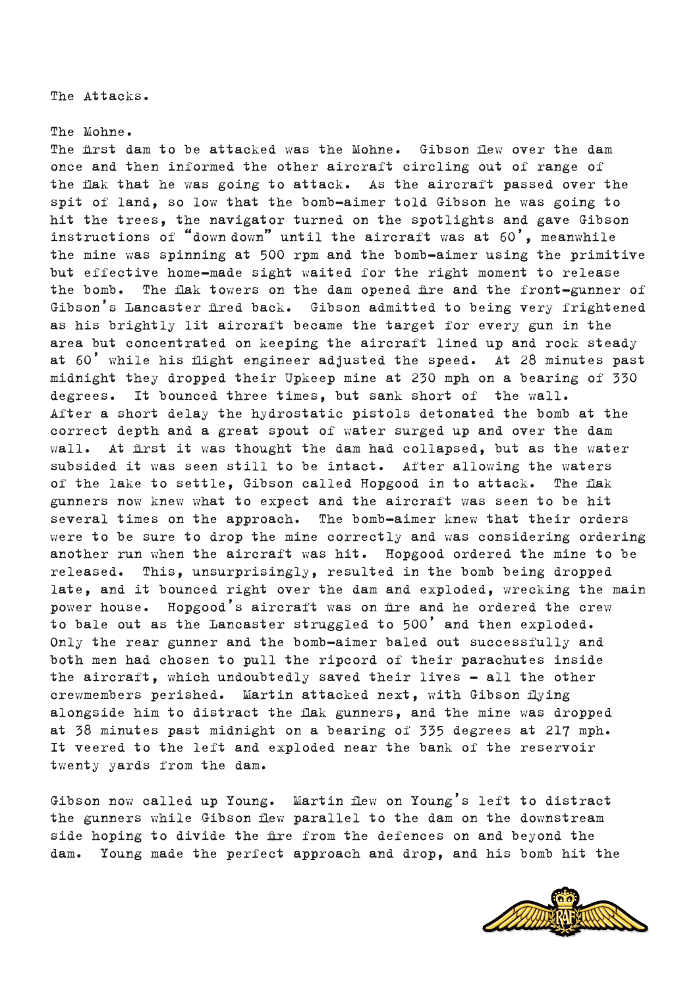The Attacks.

### The Mohne.

The first dam to be attacked was the Mohne. Gibson flew over the dam once and then informed the other aircraft circling out of range of the flak that he was going to attack. As the aircraft passed over the spit of land, so low that the bomb-aimer told Gibson he was going to hit the trees, the navigator turned on the spotlights and gave Gibson instructions of "down down" until the aircraft was at  $60'$ , meanwhile the mine was spinning at 500 rpm and the bomb-aimer using the primitive but effective home-made sight waited for the right moment to release the bomb. The flak towers on the dam opened fire and the front-gunner of Gibson's Lancaster fired back. Gibson admitted to being very frightened as his brightly lit aircraft became the target for every gun in the area but concentrated on keeping the aircraft lined up and rock steady at 60' while his flight engineer adjusted the speed. At 28 minutes past midnight they dropped their Upkeep mine at 230 mph on a bearing of 330 degrees. It bounced three times, but sank short of the wall. After a short delay the hydrostatic pistols detonated the bomb at the correct depth and a great spout of water surged up and over the dam wall. At first it was thought the dam had collapsed, but as the water subsided it was seen still to be intact. After allowing the waters of the lake to settle, Gibson called Hopgood in to attack. The flak gunners now knew what to expect and the aircraft was seen to be hit several times on the approach. The bomb-aimer knew that their orders were to be sure to drop the mine correctly and was considering ordering another run when the aircraft was hit. Hopgood ordered the mine to be released. This, unsurprisingly, resulted in the bomb being dropped late, and it bounced right over the dam and exploded, wrecking the main power house. Hopgood's aircraft was on fire and he ordered the crew to bale out as the Lancaster struggled to 500' and then exploded. Only the rear gunner and the bomb-aimer baled out successfully and both men had chosen to pull the ripcord of their parachutes inside the aircraft, which undoubtedly saved their lives – all the other crewmembers perished. Martin attacked next, with Gibson flying alongside him to distract the flak gunners, and the mine was dropped at 38 minutes past midnight on a bearing of 335 degrees at 217 mph. It veered to the left and exploded near the bank of the reservoir twenty yards from the dam.

Gibson now called up Young. Martin flew on Young's left to distract the gunners while Gibson flew parallel to the dam on the downstream side hoping to divide the fire from the defences on and beyond the dam. Young made the perfect approach and drop, and his bomb hit the

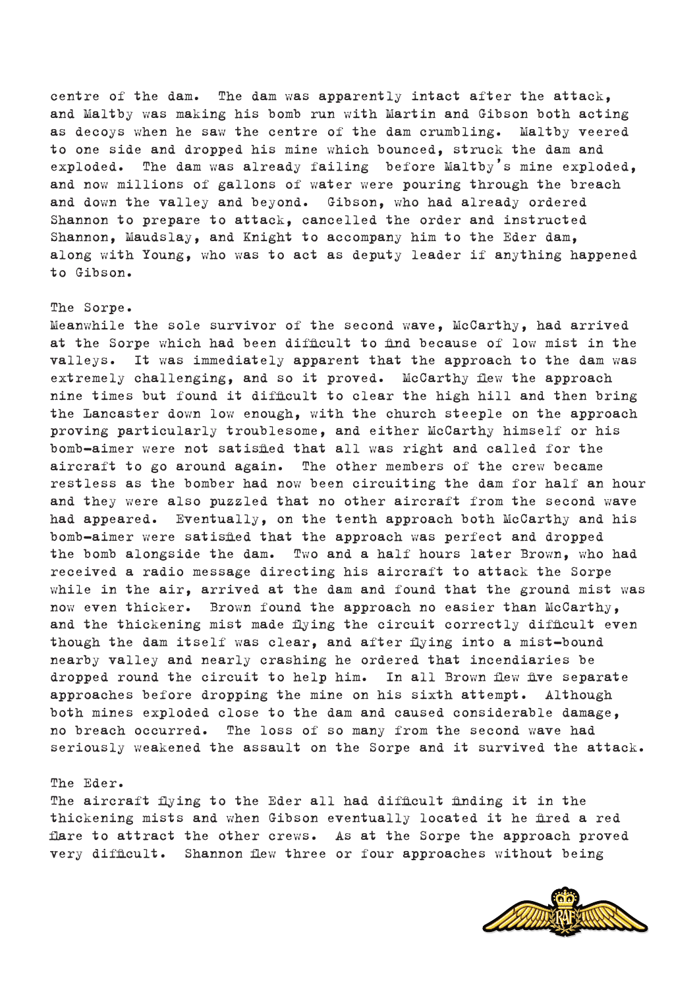centre of the dam. The dam was apparently intact after the attack, and Maltby was making his bomb run with Martin and Gibson both acting as decoys when he saw the centre of the dam crumbling. Maltby veered to one side and dropped his mine which bounced, struck the dam and exploded. The dam was already failing before Maltby's mine exploded, and now millions of gallons of water were pouring through the breach and down the valley and beyond. Gibson, who had already ordered Shannon to prepare to attack, cancelled the order and instructed Shannon, Maudslay, and Knight to accompany him to the Eder dam, along with Young, who was to act as deputy leader if anything happened to Gibson.

# The Sorpe.

Meanwhile the sole survivor of the second wave, McCarthy, had arrived at the Sorpe which had been difficult to find because of low mist in the valleys. It was immediately apparent that the approach to the dam was extremely challenging, and so it proved. McCarthy flew the approach nine times but found it difficult to clear the high hill and then bring the Lancaster down low enough, with the church steeple on the approach proving particularly troublesome, and either McCarthy himself or his bomb-aimer were not satisfied that all was right and called for the aircraft to go around again. The other members of the crew became restless as the bomber had now been circuiting the dam for half an hour and they were also puzzled that no other aircraft from the second wave had appeared. Eventually, on the tenth approach both McCarthy and his bomb-aimer were satisfied that the approach was perfect and dropped the bomb alongside the dam. Two and a half hours later Brown, who had received a radio message directing his aircraft to attack the Sorpe while in the air, arrived at the dam and found that the ground mist was now even thicker. Brown found the approach no easier than McCarthy, and the thickening mist made flying the circuit correctly difficult even though the dam itself was clear, and after flying into a mist-bound nearby valley and nearly crashing he ordered that incendiaries be dropped round the circuit to help him. In all Brown flew five separate approaches before dropping the mine on his sixth attempt. Although both mines exploded close to the dam and caused considerable damage, no breach occurred. The loss of so many from the second wave had seriously weakened the assault on the Sorpe and it survived the attack.

#### The Eder.

The aircraft flying to the Eder all had difficult finding it in the thickening mists and when Gibson eventually located it he fired a red flare to attract the other crews. As at the Sorpe the approach proved very difficult. Shannon flew three or four approaches without being

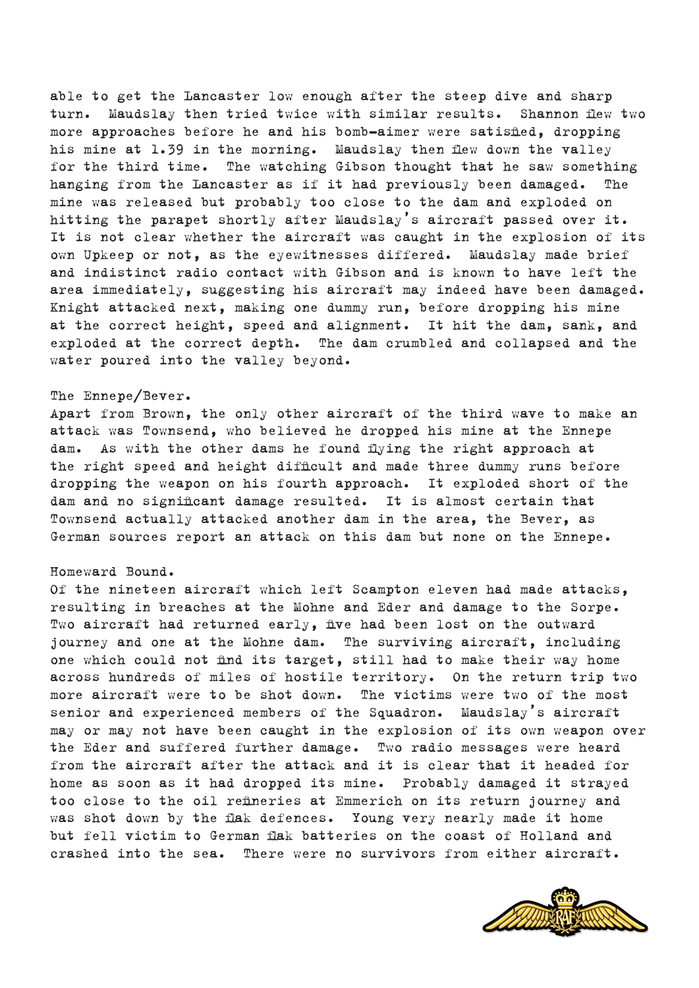able to get the Lancaster low enough after the steep dive and sharp turn. Maudslay then tried twice with similar results. Shannon flew two more approaches before he and his bomb-aimer were satisfied, dropping his mine at 1.39 in the morning. Maudslay then flew down the valley for the third time. The watching Gibson thought that he saw something hanging from the Lancaster as if it had previously been damaged. The mine was released but probably too close to the dam and exploded on hitting the parapet shortly after Maudslay's aircraft passed over it. It is not clear whether the aircraft was caught in the explosion of its own Upkeep or not, as the eyewitnesses differed. Maudslay made brief and indistinct radio contact with Gibson and is known to have left the area immediately, suggesting his aircraft may indeed have been damaged. Knight attacked next, making one dummy run, before dropping his mine at the correct height, speed and alignment. It hit the dam, sank, and exploded at the correct depth. The dam crumbled and collapsed and the water poured into the valley beyond.

### The Ennepe/Bever.

Apart from Brown, the only other aircraft of the third wave to make an attack was Townsend, who believed he dropped his mine at the Ennepe dam. As with the other dams he found flying the right approach at the right speed and height difficult and made three dummy runs before dropping the weapon on his fourth approach. It exploded short of the dam and no significant damage resulted. It is almost certain that Townsend actually attacked another dam in the area, the Bever, as German sources report an attack on this dam but none on the Ennepe.

### Homeward Bound.

Of the nineteen aircraft which left Scampton eleven had made attacks, resulting in breaches at the Mohne and Eder and damage to the Sorpe. Two aircraft had returned early, five had been lost on the outward journey and one at the Mohne dam. The surviving aircraft, including one which could not find its target, still had to make their way home across hundreds of miles of hostile territory. On the return trip two more aircraft were to be shot down. The victims were two of the most senior and experienced members of the Squadron. Maudslay's aircraft may or may not have been caught in the explosion of its own weapon over the Eder and suffered further damage. Two radio messages were heard from the aircraft after the attack and it is clear that it headed for home as soon as it had dropped its mine. Probably damaged it strayed too close to the oil refineries at Emmerich on its return journey and was shot down by the flak defences. Young very nearly made it home but fell victim to German flak batteries on the coast of Holland and crashed into the sea. There were no survivors from either aircraft.